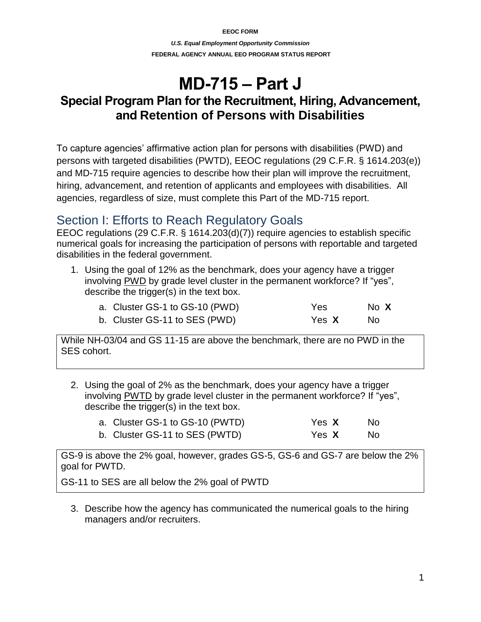**EEOC FORM** *U.S. Equal Employment Opportunity Commission* **FEDERAL AGENCY ANNUAL EEO PROGRAM STATUS REPORT**

# **MD-715 – Part J**

## **Special Program Plan for the Recruitment, Hiring, Advancement, and Retention of Persons with Disabilities**

To capture agencies' affirmative action plan for persons with disabilities (PWD) and persons with targeted disabilities (PWTD), EEOC regulations (29 C.F.R. § 1614.203(e)) and MD-715 require agencies to describe how their plan will improve the recruitment, hiring, advancement, and retention of applicants and employees with disabilities. All agencies, regardless of size, must complete this Part of the MD-715 report.

## Section I: Efforts to Reach Regulatory Goals

EEOC regulations (29 C.F.R. § 1614.203(d)(7)) require agencies to establish specific numerical goals for increasing the participation of persons with reportable and targeted disabilities in the federal government.

1. Using the goal of 12% as the benchmark, does your agency have a trigger involving PWD by grade level cluster in the permanent workforce? If "yes", describe the trigger(s) in the text box.

| a. Cluster GS-1 to GS-10 (PWD) | Yes          | No X |
|--------------------------------|--------------|------|
| b. Cluster GS-11 to SES (PWD)  | Yes <b>X</b> | . No |

While NH-03/04 and GS 11-15 are above the benchmark, there are no PWD in the SES cohort.

2. Using the goal of 2% as the benchmark, does your agency have a trigger involving PWTD by grade level cluster in the permanent workforce? If "yes", describe the trigger(s) in the text box.

| a. Cluster GS-1 to GS-10 (PWTD) | Yes X | No. |
|---------------------------------|-------|-----|
| b. Cluster GS-11 to SES (PWTD)  | Yes X | No. |

GS-9 is above the 2% goal, however, grades GS-5, GS-6 and GS-7 are below the 2% goal for PWTD.

GS-11 to SES are all below the 2% goal of PWTD

3. Describe how the agency has communicated the numerical goals to the hiring managers and/or recruiters.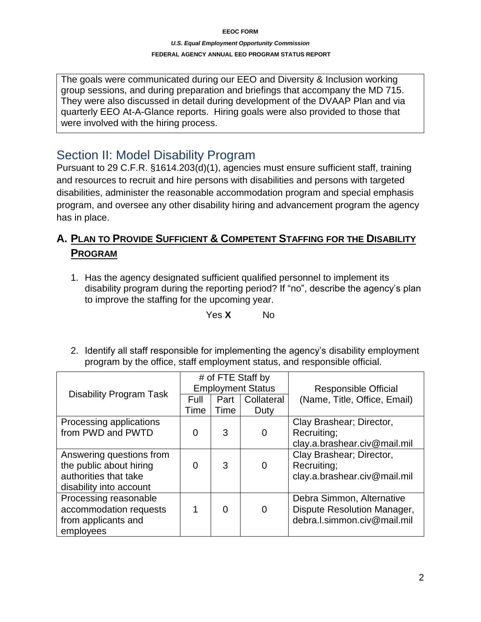#### *U.S. Equal Employment Opportunity Commission* **FEDERAL AGENCY ANNUAL EEO PROGRAM STATUS REPORT**

The goals were communicated during our EEO and Diversity & Inclusion working group sessions, and during preparation and briefings that accompany the MD 715. They were also discussed in detail during development of the DVAAP Plan and via quarterly EEO At-A-Glance reports. Hiring goals were also provided to those that were involved with the hiring process.

## Section II: Model Disability Program

Pursuant to 29 C.F.R. §1614.203(d)(1), agencies must ensure sufficient staff, training and resources to recruit and hire persons with disabilities and persons with targeted disabilities, administer the reasonable accommodation program and special emphasis program, and oversee any other disability hiring and advancement program the agency has in place.

## **A. PLAN TO PROVIDE SUFFICIENT & COMPETENT STAFFING FOR THE DISABILITY PROGRAM**

1. Has the agency designated sufficient qualified personnel to implement its disability program during the reporting period? If "no", describe the agency's plan to improve the staffing for the upcoming year.

Yes **X** No

2. Identify all staff responsible for implementing the agency's disability employment program by the office, staff employment status, and responsible official.

|                                | # of FTE Staff by<br><b>Employment Status</b> |                |            | <b>Responsible Official</b>  |
|--------------------------------|-----------------------------------------------|----------------|------------|------------------------------|
| <b>Disability Program Task</b> | Full                                          | Part           | Collateral | (Name, Title, Office, Email) |
|                                | Time                                          | Time           | Duty       |                              |
| Processing applications        |                                               |                |            | Clay Brashear; Director,     |
| from PWD and PWTD              | $\overline{0}$                                | 3              | 0          | Recruiting;                  |
|                                |                                               |                |            | clay.a.brashear.civ@mail.mil |
| Answering questions from       |                                               |                |            | Clay Brashear; Director,     |
| the public about hiring        | 0                                             | 3              | 0          | Recruiting;                  |
| authorities that take          |                                               |                |            | clay.a.brashear.civ@mail.mil |
| disability into account        |                                               |                |            |                              |
| Processing reasonable          |                                               |                |            | Debra Simmon, Alternative    |
| accommodation requests         | 1                                             | $\overline{0}$ | 0          | Dispute Resolution Manager,  |
| from applicants and            |                                               |                |            | debra.l.simmon.civ@mail.mil  |
| employees                      |                                               |                |            |                              |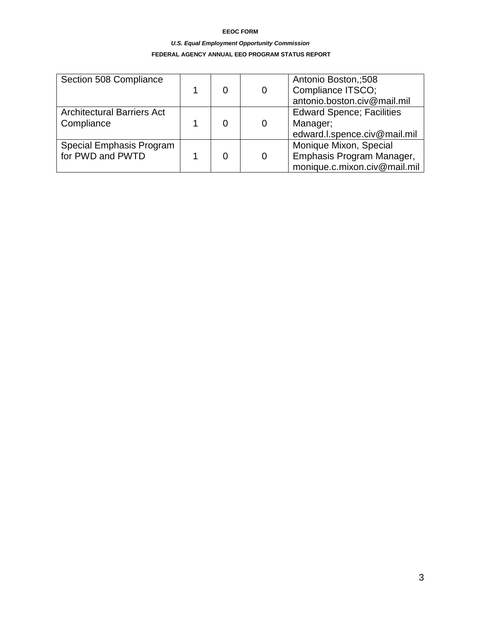#### *U.S. Equal Employment Opportunity Commission*

#### **FEDERAL AGENCY ANNUAL EEO PROGRAM STATUS REPORT**

| Section 508 Compliance                          |  | 0 | Antonio Boston,;508<br>Compliance ITSCO;<br>antonio.boston.civ@mail.mil             |
|-------------------------------------------------|--|---|-------------------------------------------------------------------------------------|
| <b>Architectural Barriers Act</b><br>Compliance |  | 0 | <b>Edward Spence; Facilities</b><br>Manager;<br>edward.l.spence.civ@mail.mil        |
| Special Emphasis Program<br>for PWD and PWTD    |  | 0 | Monique Mixon, Special<br>Emphasis Program Manager,<br>monique.c.mixon.civ@mail.mil |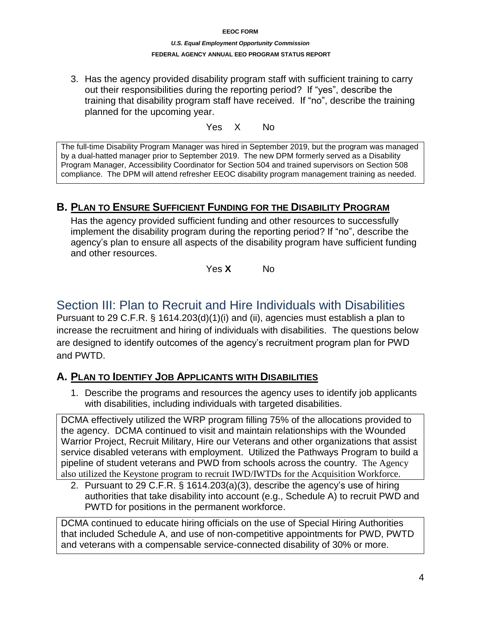#### *U.S. Equal Employment Opportunity Commission* **FEDERAL AGENCY ANNUAL EEO PROGRAM STATUS REPORT**

3. Has the agency provided disability program staff with sufficient training to carry out their responsibilities during the reporting period? If "yes", describe the training that disability program staff have received.If "no", describe the training planned for the upcoming year.

Yes X No

The full-time Disability Program Manager was hired in September 2019, but the program was managed by a dual-hatted manager prior to September 2019. The new DPM formerly served as a Disability Program Manager, Accessibility Coordinator for Section 504 and trained supervisors on Section 508 compliance. The DPM will attend refresher EEOC disability program management training as needed.

## **B. PLAN TO ENSURE SUFFICIENT FUNDING FOR THE DISABILITY PROGRAM**

Has the agency provided sufficient funding and other resources to successfully implement the disability program during the reporting period? If "no", describe the agency's plan to ensure all aspects of the disability program have sufficient funding and other resources.

Yes **X** No

## Section III: Plan to Recruit and Hire Individuals with Disabilities

Pursuant to 29 C.F.R. § 1614.203(d)(1)(i) and (ii), agencies must establish a plan to increase the recruitment and hiring of individuals with disabilities. The questions below are designed to identify outcomes of the agency's recruitment program plan for PWD and PWTD.

## **A. PLAN TO IDENTIFY JOB APPLICANTS WITH DISABILITIES**

1. Describe the programs and resources the agency uses to identify job applicants with disabilities, including individuals with targeted disabilities.

DCMA effectively utilized the WRP program filling 75% of the allocations provided to the agency. DCMA continued to visit and maintain relationships with the Wounded Warrior Project, Recruit Military, Hire our Veterans and other organizations that assist service disabled veterans with employment. Utilized the Pathways Program to build a pipeline of student veterans and PWD from schools across the country. The Agency also utilized the Keystone program to recruit IWD/IWTDs for the Acquisition Workforce.

2. Pursuant to 29 C.F.R. § 1614.203(a)(3), describe the agency's use of hiring authorities that take disability into account (e.g., Schedule A) to recruit PWD and PWTD for positions in the permanent workforce.

DCMA continued to educate hiring officials on the use of Special Hiring Authorities that included Schedule A, and use of non-competitive appointments for PWD, PWTD and veterans with a compensable service-connected disability of 30% or more.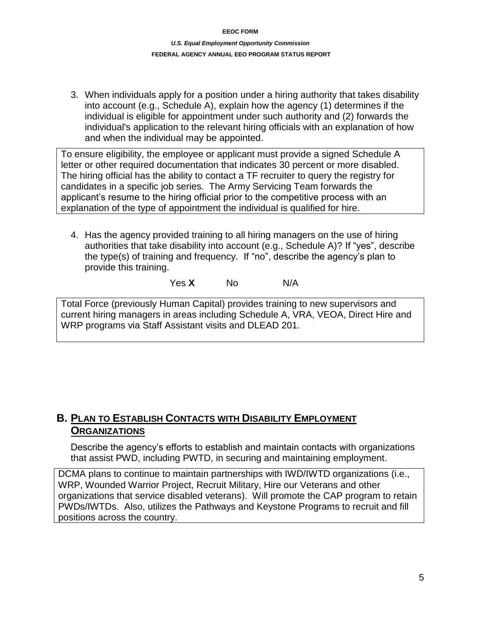3. When individuals apply for a position under a hiring authority that takes disability into account (e.g., Schedule A), explain how the agency (1) determines if the individual is eligible for appointment under such authority and (2) forwards the individual's application to the relevant hiring officials with an explanation of how and when the individual may be appointed.

To ensure eligibility, the employee or applicant must provide a signed Schedule A letter or other required documentation that indicates 30 percent or more disabled. The hiring official has the ability to contact a TF recruiter to query the registry for candidates in a specific job series. The Army Servicing Team forwards the applicant's resume to the hiring official prior to the competitive process with an explanation of the type of appointment the individual is qualified for hire.

4. Has the agency provided training to all hiring managers on the use of hiring authorities that take disability into account (e.g., Schedule A)? If "yes", describe the type(s) of training and frequency. If "no", describe the agency's plan to provide this training.

Yes **X** No N/A

Total Force (previously Human Capital) provides training to new supervisors and current hiring managers in areas including Schedule A, VRA, VEOA, Direct Hire and WRP programs via Staff Assistant visits and DLEAD 201.

## **B. PLAN TO ESTABLISH CONTACTS WITH DISABILITY EMPLOYMENT ORGANIZATIONS**

Describe the agency's efforts to establish and maintain contacts with organizations that assist PWD, including PWTD, in securing and maintaining employment.

DCMA plans to continue to maintain partnerships with IWD/IWTD organizations (i.e., WRP, Wounded Warrior Project, Recruit Military, Hire our Veterans and other organizations that service disabled veterans). Will promote the CAP program to retain PWDs/IWTDs. Also, utilizes the Pathways and Keystone Programs to recruit and fill positions across the country.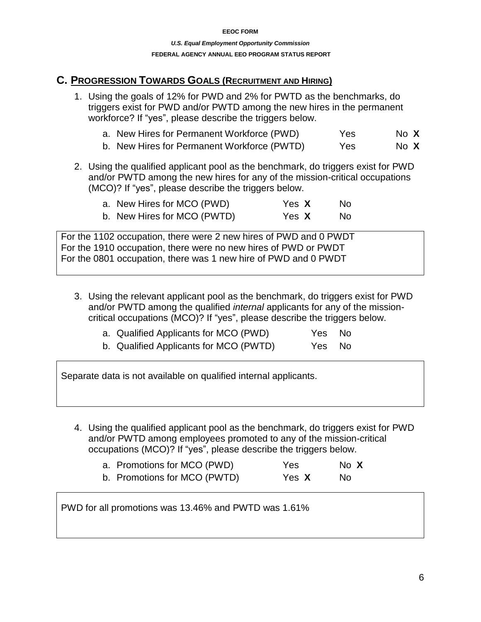### **C. PROGRESSION TOWARDS GOALS (RECRUITMENT AND HIRING)**

- 1. Using the goals of 12% for PWD and 2% for PWTD as the benchmarks, do triggers exist for PWD and/or PWTD among the new hires in the permanent workforce? If "yes", please describe the triggers below.
	- a. New Hires for Permanent Workforce (PWD) Yes No **X**
	- b. New Hires for Permanent Workforce (PWTD) Yes No X
- 2. Using the qualified applicant pool as the benchmark, do triggers exist for PWD and/or PWTD among the new hires for any of the mission-critical occupations (MCO)? If "yes", please describe the triggers below.

| a. New Hires for MCO (PWD)  | Yes X | No. |
|-----------------------------|-------|-----|
| b. New Hires for MCO (PWTD) | Yes X | No. |

For the 1102 occupation, there were 2 new hires of PWD and 0 PWDT For the 1910 occupation, there were no new hires of PWD or PWDT For the 0801 occupation, there was 1 new hire of PWD and 0 PWDT

3. Using the relevant applicant pool as the benchmark, do triggers exist for PWD and/or PWTD among the qualified *internal* applicants for any of the missioncritical occupations (MCO)? If "yes", please describe the triggers below.

| a. Qualified Applicants for MCO (PWD)  | Yes No |  |
|----------------------------------------|--------|--|
| b. Qualified Applicants for MCO (PWTD) | Yes No |  |

Separate data is not available on qualified internal applicants.

4. Using the qualified applicant pool as the benchmark, do triggers exist for PWD and/or PWTD among employees promoted to any of the mission-critical occupations (MCO)? If "yes", please describe the triggers below.

| a. Promotions for MCO (PWD)  | <b>Yes</b> | No X |
|------------------------------|------------|------|
| b. Promotions for MCO (PWTD) | Yes X      | No.  |

PWD for all promotions was 13.46% and PWTD was 1.61%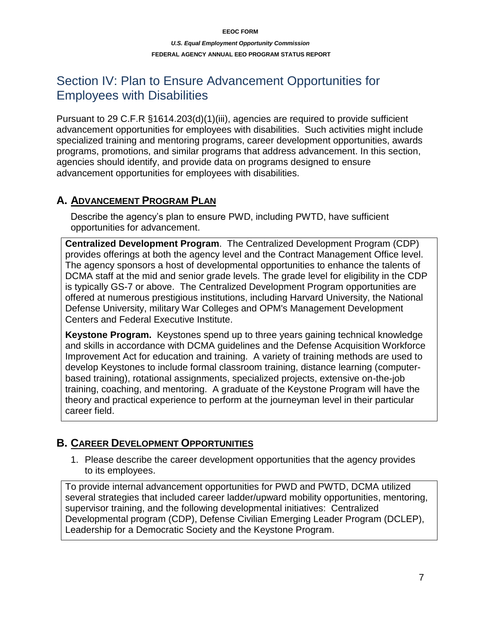#### *U.S. Equal Employment Opportunity Commission* **FEDERAL AGENCY ANNUAL EEO PROGRAM STATUS REPORT**

## Section IV: Plan to Ensure Advancement Opportunities for Employees with Disabilities

Pursuant to 29 C.F.R §1614.203(d)(1)(iii), agencies are required to provide sufficient advancement opportunities for employees with disabilities. Such activities might include specialized training and mentoring programs, career development opportunities, awards programs, promotions, and similar programs that address advancement. In this section, agencies should identify, and provide data on programs designed to ensure advancement opportunities for employees with disabilities.

### **A. ADVANCEMENT PROGRAM PLAN**

Describe the agency's plan to ensure PWD, including PWTD, have sufficient opportunities for advancement.

**Centralized Development Program**. The Centralized Development Program (CDP) provides offerings at both the agency level and the Contract Management Office level. The agency sponsors a host of developmental opportunities to enhance the talents of DCMA staff at the mid and senior grade levels. The grade level for eligibility in the CDP is typically GS-7 or above. The Centralized Development Program opportunities are offered at numerous prestigious institutions, including Harvard University, the National Defense University, military War Colleges and OPM's Management Development Centers and Federal Executive Institute.

**Keystone Program.** Keystones spend up to three years gaining technical knowledge and skills in accordance with DCMA guidelines and the Defense Acquisition Workforce Improvement Act for education and training. A variety of training methods are used to develop Keystones to include formal classroom training, distance learning (computerbased training), rotational assignments, specialized projects, extensive on-the-job training, coaching, and mentoring. A graduate of the Keystone Program will have the theory and practical experience to perform at the journeyman level in their particular career field.

## **B. CAREER DEVELOPMENT OPPORTUNITIES**

1. Please describe the career development opportunities that the agency provides to its employees.

To provide internal advancement opportunities for PWD and PWTD, DCMA utilized several strategies that included career ladder/upward mobility opportunities, mentoring, supervisor training, and the following developmental initiatives: Centralized Developmental program (CDP), Defense Civilian Emerging Leader Program (DCLEP), Leadership for a Democratic Society and the Keystone Program.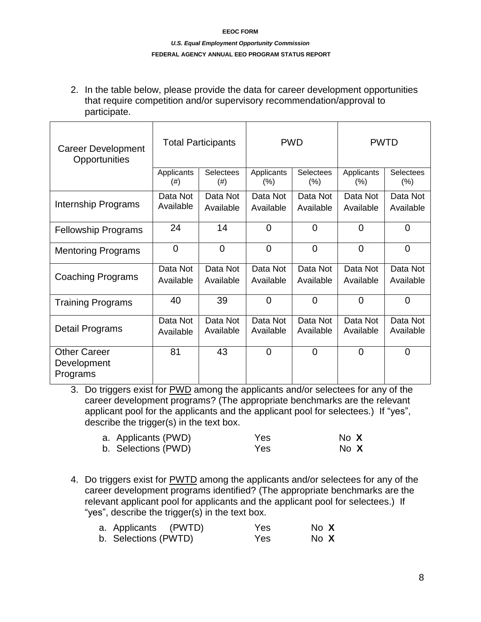#### *U.S. Equal Employment Opportunity Commission* **FEDERAL AGENCY ANNUAL EEO PROGRAM STATUS REPORT**

2. In the table below, please provide the data for career development opportunities that require competition and/or supervisory recommendation/approval to participate.

| <b>Career Development</b><br>Opportunities     | <b>Total Participants</b> |                          | <b>PWD</b>            |                             | <b>PWTD</b>           |                             |
|------------------------------------------------|---------------------------|--------------------------|-----------------------|-----------------------------|-----------------------|-----------------------------|
|                                                | Applicants<br>$(\#)$      | <b>Selectees</b><br>(# ) | Applicants<br>$(\% )$ | <b>Selectees</b><br>$(\% )$ | Applicants<br>(% )    | <b>Selectees</b><br>$(\% )$ |
| Internship Programs                            | Data Not<br>Available     | Data Not<br>Available    | Data Not<br>Available | Data Not<br>Available       | Data Not<br>Available | Data Not<br>Available       |
| <b>Fellowship Programs</b>                     | 24                        | 14                       | $\overline{0}$        | $\overline{0}$              | $\Omega$              | 0                           |
| <b>Mentoring Programs</b>                      | $\overline{0}$            | $\overline{0}$           | $\overline{0}$        | $\overline{0}$              | $\overline{0}$        | $\overline{0}$              |
| Coaching Programs                              | Data Not<br>Available     | Data Not<br>Available    | Data Not<br>Available | Data Not<br>Available       | Data Not<br>Available | Data Not<br>Available       |
| <b>Training Programs</b>                       | 40                        | 39                       | $\overline{0}$        | $\overline{0}$              | $\Omega$              | 0                           |
| Detail Programs                                | Data Not<br>Available     | Data Not<br>Available    | Data Not<br>Available | Data Not<br>Available       | Data Not<br>Available | Data Not<br>Available       |
| <b>Other Career</b><br>Development<br>Programs | 81                        | 43                       | $\Omega$              | $\overline{0}$              | $\Omega$              | 0                           |

3. Do triggers exist for PWD among the applicants and/or selectees for any of the career development programs? (The appropriate benchmarks are the relevant applicant pool for the applicants and the applicant pool for selectees.) If "yes", describe the trigger(s) in the text box.

| a. Applicants (PWD) | Yes | No X |  |
|---------------------|-----|------|--|
| b. Selections (PWD) | Yes | No X |  |

4. Do triggers exist for PWTD among the applicants and/or selectees for any of the career development programs identified? (The appropriate benchmarks are the relevant applicant pool for applicants and the applicant pool for selectees.) If "yes", describe the trigger(s) in the text box.

| a. Applicants (PWTD) | Yes | No X |
|----------------------|-----|------|
| b. Selections (PWTD) | Yes | No X |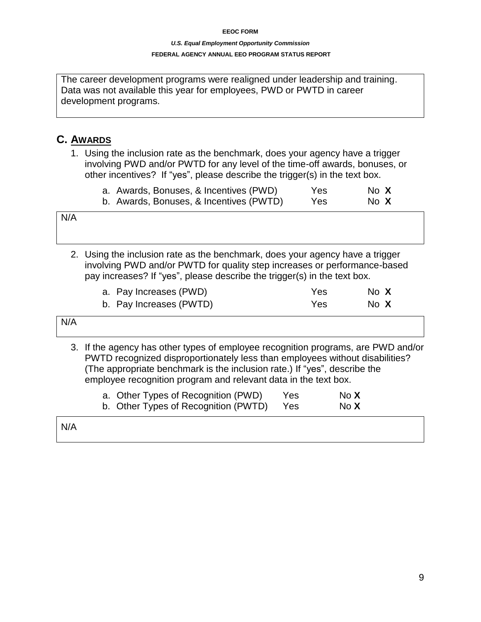#### *U.S. Equal Employment Opportunity Commission* **FEDERAL AGENCY ANNUAL EEO PROGRAM STATUS REPORT**

The career development programs were realigned under leadership and training. Data was not available this year for employees, PWD or PWTD in career development programs.

## **C. AWARDS**

1. Using the inclusion rate as the benchmark, does your agency have a trigger involving PWD and/or PWTD for any level of the time-off awards, bonuses, or other incentives? If "yes", please describe the trigger(s) in the text box.

|  | a. Awards, Bonuses, & Incentives (PWD)  | Yes | No X |  |
|--|-----------------------------------------|-----|------|--|
|  | b. Awards, Bonuses, & Incentives (PWTD) | Yes | No X |  |

N/A

2. Using the inclusion rate as the benchmark, does your agency have a trigger involving PWD and/or PWTD for quality step increases or performance-based pay increases? If "yes", please describe the trigger(s) in the text box.

| a. Pay Increases (PWD)  | Yes | No X |  |
|-------------------------|-----|------|--|
| b. Pay Increases (PWTD) | Yes | No X |  |

| N/A |                                                                                  |  |
|-----|----------------------------------------------------------------------------------|--|
|     | 2 If the exercy has other times of employee researction pregrams, are DMD and/or |  |

3. If the agency has other types of employee recognition programs, are PWD and/or PWTD recognized disproportionately less than employees without disabilities? (The appropriate benchmark is the inclusion rate.) If "yes", describe the employee recognition program and relevant data in the text box.

| a. Other Types of Recognition (PWD)  | <b>Yes</b> | No <b>X</b> |
|--------------------------------------|------------|-------------|
| b. Other Types of Recognition (PWTD) | Yes        | No <b>X</b> |

| N/A |  |  |  |
|-----|--|--|--|
|     |  |  |  |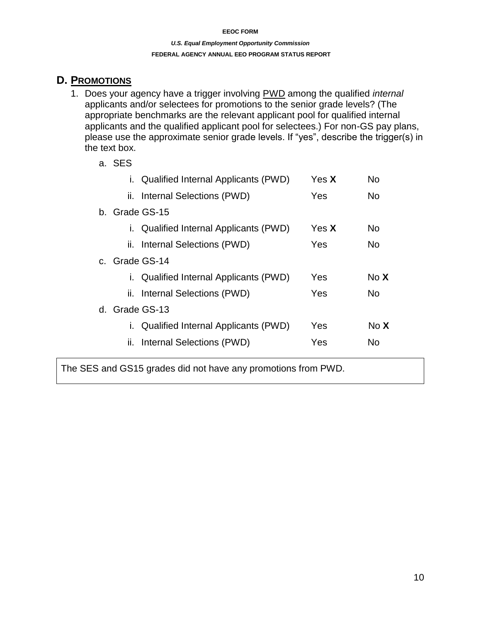#### *U.S. Equal Employment Opportunity Commission* **FEDERAL AGENCY ANNUAL EEO PROGRAM STATUS REPORT**

### **D. PROMOTIONS**

- 1. Does your agency have a trigger involving PWD among the qualified *internal*  applicants and/or selectees for promotions to the senior grade levels? (The appropriate benchmarks are the relevant applicant pool for qualified internal applicants and the qualified applicant pool for selectees.) For non-GS pay plans, please use the approximate senior grade levels. If "yes", describe the trigger(s) in the text box.
	- a. SES

| Ι.             | <b>Qualified Internal Applicants (PWD)</b> | Yes <b>X</b> | <b>No</b>   |
|----------------|--------------------------------------------|--------------|-------------|
| н.             | Internal Selections (PWD)                  | Yes          | No          |
| b. Grade GS-15 |                                            |              |             |
| Τ.             | Qualified Internal Applicants (PWD)        | Yes <b>X</b> | <b>No</b>   |
|                | ii. Internal Selections (PWD)              | Yes          | No.         |
| c. Grade GS-14 |                                            |              |             |
|                | Qualified Internal Applicants (PWD)        | Yes          | No <b>X</b> |
|                | ii. Internal Selections (PWD)              | Yes          | No.         |
| d. Grade GS-13 |                                            |              |             |
| Ι.             | Qualified Internal Applicants (PWD)        | Yes          | No <b>X</b> |
| н.             | Internal Selections (PWD)                  | Yes          | N٥          |
|                |                                            |              |             |

The SES and GS15 grades did not have any promotions from PWD.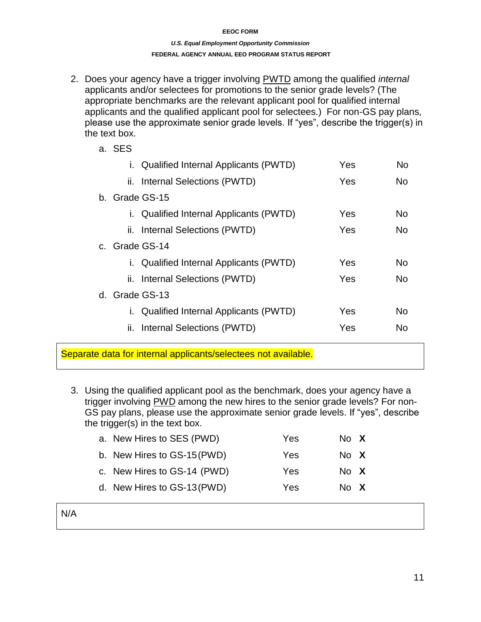#### *U.S. Equal Employment Opportunity Commission* **FEDERAL AGENCY ANNUAL EEO PROGRAM STATUS REPORT**

- 2. Does your agency have a trigger involving PWTD among the qualified *internal* applicants and/or selectees for promotions to the senior grade levels? (The appropriate benchmarks are the relevant applicant pool for qualified internal applicants and the qualified applicant pool for selectees.) For non-GS pay plans, please use the approximate senior grade levels. If "yes", describe the trigger(s) in the text box.
	- a. SES i. Qualified Internal Applicants (PWTD) Yes No ii. Internal Selections (PWTD) Yes No b. Grade GS-15 i. Qualified Internal Applicants (PWTD) Yes No ii. Internal Selections (PWTD) Yes No c. Grade GS-14 i. Qualified Internal Applicants (PWTD) Yes No ii. Internal Selections (PWTD) Yes No d. Grade GS-13 i. Qualified Internal Applicants (PWTD) Yes No ii. Internal Selections (PWTD) Yes No
- Separate data for internal applicants/selectees not available.
	- 3. Using the qualified applicant pool as the benchmark, does your agency have a trigger involving PWD among the new hires to the senior grade levels? For non-GS pay plans, please use the approximate senior grade levels. If "yes", describe the trigger(s) in the text box.

| Yes                                                                                                                    |                              |
|------------------------------------------------------------------------------------------------------------------------|------------------------------|
| Yes                                                                                                                    |                              |
| Yes                                                                                                                    |                              |
| Yes                                                                                                                    |                              |
| a. New Hires to SES (PWD)<br>b. New Hires to GS-15 (PWD)<br>c. New Hires to GS-14 (PWD)<br>d. New Hires to GS-13 (PWD) | No X<br>No X<br>No X<br>No X |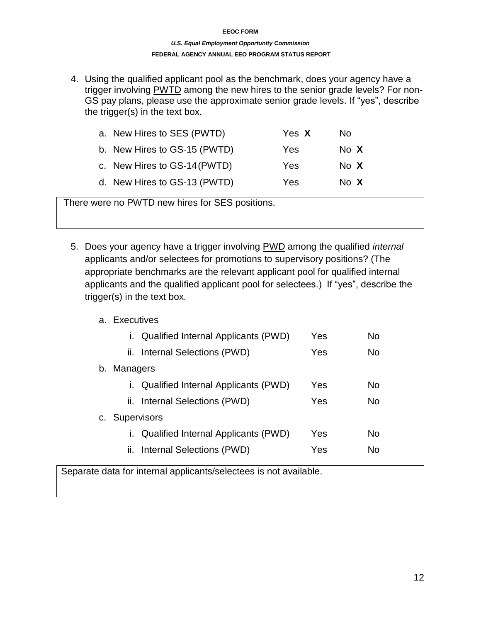#### *U.S. Equal Employment Opportunity Commission* **FEDERAL AGENCY ANNUAL EEO PROGRAM STATUS REPORT**

4. Using the qualified applicant pool as the benchmark, does your agency have a trigger involving PWTD among the new hires to the senior grade levels? For non-GS pay plans, please use the approximate senior grade levels. If "yes", describe the trigger(s) in the text box.

| a. New Hires to SES (PWTD)   | Yes X | No.  |
|------------------------------|-------|------|
| b. New Hires to GS-15 (PWTD) | Yes   | No X |
| c. New Hires to GS-14 (PWTD) | Yes   | No X |
| d. New Hires to GS-13 (PWTD) | Yes   | No X |

There were no PWTD new hires for SES positions.

5. Does your agency have a trigger involving PWD among the qualified *internal*  applicants and/or selectees for promotions to supervisory positions? (The appropriate benchmarks are the relevant applicant pool for qualified internal applicants and the qualified applicant pool for selectees.) If "yes", describe the trigger(s) in the text box.

### a. Executives

|                | i. Qualified Internal Applicants (PWD)     | Yes | No        |
|----------------|--------------------------------------------|-----|-----------|
|                | ii. Internal Selections (PWD)              | Yes | <b>No</b> |
| Managers<br>b. |                                            |     |           |
| L.             | <b>Qualified Internal Applicants (PWD)</b> | Yes | No        |
|                | ii. Internal Selections (PWD)              | Yes | <b>No</b> |
| c. Supervisors |                                            |     |           |
| Ĺ.             | Qualified Internal Applicants (PWD)        | Yes | No        |
|                | ii. Internal Selections (PWD)              | Yes | N٥        |
|                |                                            |     |           |

Separate data for internal applicants/selectees is not available.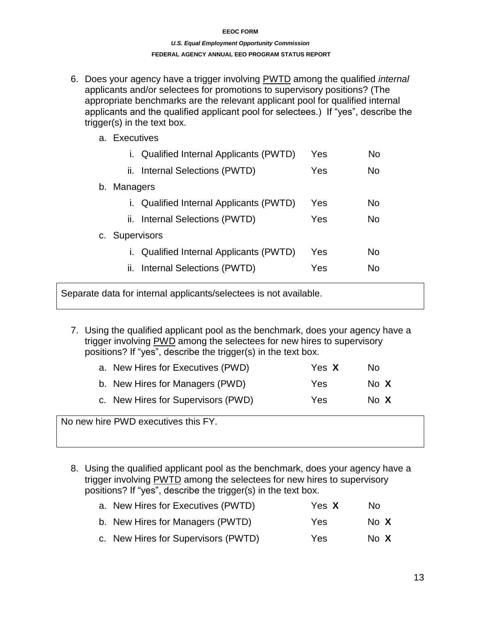#### *U.S. Equal Employment Opportunity Commission* **FEDERAL AGENCY ANNUAL EEO PROGRAM STATUS REPORT**

- 6. Does your agency have a trigger involving PWTD among the qualified *internal*  applicants and/or selectees for promotions to supervisory positions? (The appropriate benchmarks are the relevant applicant pool for qualified internal applicants and the qualified applicant pool for selectees.) If "yes", describe the trigger(s) in the text box.
	- a. Executives

| i. Qualified Internal Applicants (PWTD)           | Yes | No.       |
|---------------------------------------------------|-----|-----------|
| ii. Internal Selections (PWTD)                    | Yes | <b>No</b> |
| <b>Managers</b><br>b.                             |     |           |
| <b>Qualified Internal Applicants (PWTD)</b><br>Ι. | Yes | No.       |
| ii. Internal Selections (PWTD)                    | Yes | No        |
| <b>Supervisors</b><br>C.                          |     |           |
| Qualified Internal Applicants (PWTD)              | Yes | No        |
| ii. Internal Selections (PWTD)                    | Yes | No        |

Separate data for internal applicants/selectees is not available.

7. Using the qualified applicant pool as the benchmark, does your agency have a trigger involving PWD among the selectees for new hires to supervisory positions? If "yes", describe the trigger(s) in the text box.

| a. New Hires for Executives (PWD)  | Yes X | No.  |
|------------------------------------|-------|------|
| b. New Hires for Managers (PWD)    | Yes   | No X |
| c. New Hires for Supervisors (PWD) | Yes   | No X |

No new hire PWD executives this FY.

8. Using the qualified applicant pool as the benchmark, does your agency have a trigger involving PWTD among the selectees for new hires to supervisory positions? If "yes", describe the trigger(s) in the text box.

| a. New Hires for Executives (PWTD)  | Yes X | No.  |  |
|-------------------------------------|-------|------|--|
| b. New Hires for Managers (PWTD)    | Yes   | No X |  |
| c. New Hires for Supervisors (PWTD) | Yes   | No X |  |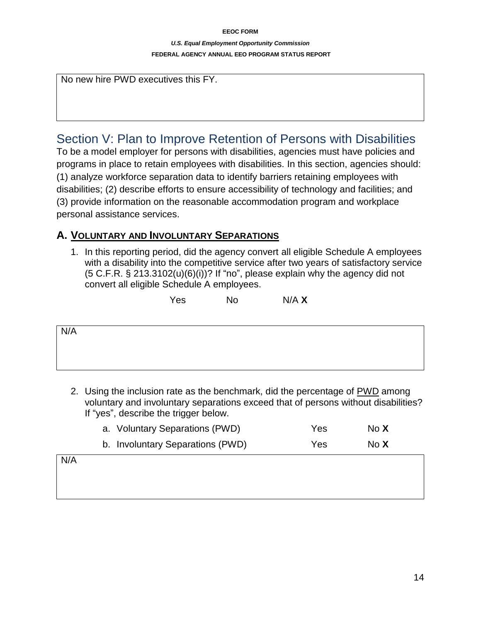#### *U.S. Equal Employment Opportunity Commission* **FEDERAL AGENCY ANNUAL EEO PROGRAM STATUS REPORT**

No new hire PWD executives this FY.

## Section V: Plan to Improve Retention of Persons with Disabilities

To be a model employer for persons with disabilities, agencies must have policies and programs in place to retain employees with disabilities. In this section, agencies should: (1) analyze workforce separation data to identify barriers retaining employees with disabilities; (2) describe efforts to ensure accessibility of technology and facilities; and (3) provide information on the reasonable accommodation program and workplace personal assistance services.

### **A. VOLUNTARY AND INVOLUNTARY SEPARATIONS**

1. In this reporting period, did the agency convert all eligible Schedule A employees with a disability into the competitive service after two years of satisfactory service  $(5 C.F.R. § 213.3102(u)(6)(i))$ ? If "no", please explain why the agency did not convert all eligible Schedule A employees.

Yes No N/A **X**

N/A

2. Using the inclusion rate as the benchmark, did the percentage of PWD among voluntary and involuntary separations exceed that of persons without disabilities? If "yes", describe the trigger below.

|     | a. Voluntary Separations (PWD)   | Yes. | No X |
|-----|----------------------------------|------|------|
|     | b. Involuntary Separations (PWD) | Yes  | No X |
| N/A |                                  |      |      |
|     |                                  |      |      |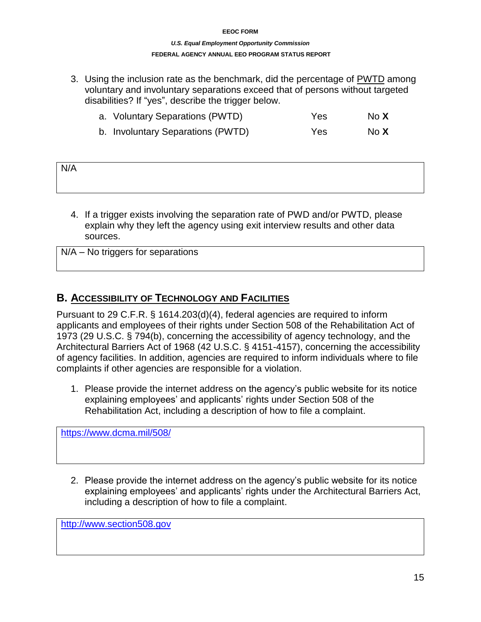#### *U.S. Equal Employment Opportunity Commission* **FEDERAL AGENCY ANNUAL EEO PROGRAM STATUS REPORT**

3. Using the inclusion rate as the benchmark, did the percentage of PWTD among voluntary and involuntary separations exceed that of persons without targeted disabilities? If "yes", describe the trigger below.

|  | a. Voluntary Separations (PWTD) | Yes | No X |
|--|---------------------------------|-----|------|
|--|---------------------------------|-----|------|

b. Involuntary Separations (PWTD) Yes No **X**

| N/A |  |  |
|-----|--|--|
|     |  |  |

4. If a trigger exists involving the separation rate of PWD and/or PWTD, please explain why they left the agency using exit interview results and other data sources.

| $N/A - No$ triggers for separations |  |
|-------------------------------------|--|
|-------------------------------------|--|

## **B. ACCESSIBILITY OF TECHNOLOGY AND FACILITIES**

Pursuant to 29 C.F.R. § 1614.203(d)(4), federal agencies are required to inform applicants and employees of their rights under Section 508 of the Rehabilitation Act of 1973 (29 U.S.C. § 794(b), concerning the accessibility of agency technology, and the Architectural Barriers Act of 1968 (42 U.S.C. § 4151-4157), concerning the accessibility of agency facilities. In addition, agencies are required to inform individuals where to file complaints if other agencies are responsible for a violation.

1. Please provide the internet address on the agency's public website for its notice explaining employees' and applicants' rights under Section 508 of the Rehabilitation Act, including a description of how to file a complaint.

<https://www.dcma.mil/508/>

2. Please provide the internet address on the agency's public website for its notice explaining employees' and applicants' rights under the Architectural Barriers Act, including a description of how to file a complaint.

[http://www.section508.gov](http://www.section508.gov/)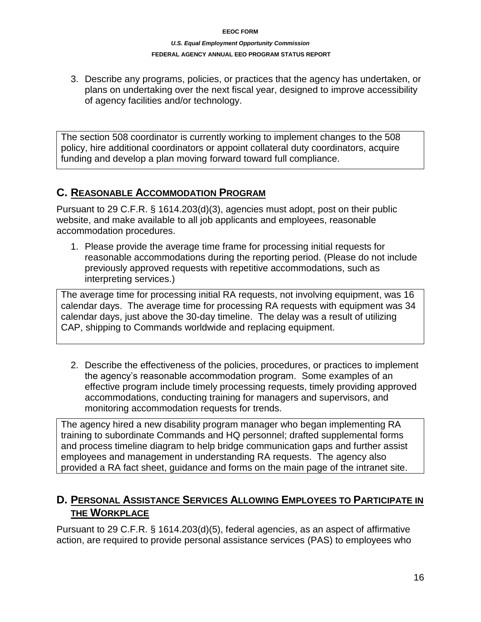#### *U.S. Equal Employment Opportunity Commission* **FEDERAL AGENCY ANNUAL EEO PROGRAM STATUS REPORT**

3. Describe any programs, policies, or practices that the agency has undertaken, or plans on undertaking over the next fiscal year, designed to improve accessibility of agency facilities and/or technology.

The section 508 coordinator is currently working to implement changes to the 508 policy, hire additional coordinators or appoint collateral duty coordinators, acquire funding and develop a plan moving forward toward full compliance.

## **C. REASONABLE ACCOMMODATION PROGRAM**

Pursuant to 29 C.F.R. § 1614.203(d)(3), agencies must adopt, post on their public website, and make available to all job applicants and employees, reasonable accommodation procedures.

1. Please provide the average time frame for processing initial requests for reasonable accommodations during the reporting period. (Please do not include previously approved requests with repetitive accommodations, such as interpreting services.)

The average time for processing initial RA requests, not involving equipment, was 16 calendar days. The average time for processing RA requests with equipment was 34 calendar days, just above the 30-day timeline. The delay was a result of utilizing CAP, shipping to Commands worldwide and replacing equipment.

2. Describe the effectiveness of the policies, procedures, or practices to implement the agency's reasonable accommodation program. Some examples of an effective program include timely processing requests, timely providing approved accommodations, conducting training for managers and supervisors, and monitoring accommodation requests for trends.

The agency hired a new disability program manager who began implementing RA training to subordinate Commands and HQ personnel; drafted supplemental forms and process timeline diagram to help bridge communication gaps and further assist employees and management in understanding RA requests. The agency also provided a RA fact sheet, guidance and forms on the main page of the intranet site.

## **D. PERSONAL ASSISTANCE SERVICES ALLOWING EMPLOYEES TO PARTICIPATE IN THE WORKPLACE**

Pursuant to 29 C.F.R. § 1614.203(d)(5), federal agencies, as an aspect of affirmative action, are required to provide personal assistance services (PAS) to employees who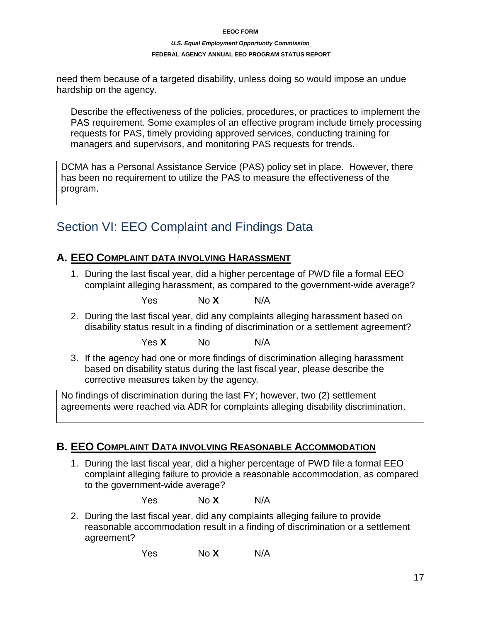#### *U.S. Equal Employment Opportunity Commission*

#### **FEDERAL AGENCY ANNUAL EEO PROGRAM STATUS REPORT**

need them because of a targeted disability, unless doing so would impose an undue hardship on the agency.

Describe the effectiveness of the policies, procedures, or practices to implement the PAS requirement. Some examples of an effective program include timely processing requests for PAS, timely providing approved services, conducting training for managers and supervisors, and monitoring PAS requests for trends.

DCMA has a Personal Assistance Service (PAS) policy set in place. However, there has been no requirement to utilize the PAS to measure the effectiveness of the program.

## Section VI: EEO Complaint and Findings Data

## **A. EEO COMPLAINT DATA INVOLVING HARASSMENT**

1. During the last fiscal year, did a higher percentage of PWD file a formal EEO complaint alleging harassment, as compared to the government-wide average?

Yes No **X** N/A

2. During the last fiscal year, did any complaints alleging harassment based on disability status result in a finding of discrimination or a settlement agreement?

Yes **X** No N/A

3. If the agency had one or more findings of discrimination alleging harassment based on disability status during the last fiscal year, please describe the corrective measures taken by the agency.

No findings of discrimination during the last FY; however, two (2) settlement agreements were reached via ADR for complaints alleging disability discrimination.

### **B. EEO COMPLAINT DATA INVOLVING REASONABLE ACCOMMODATION**

1. During the last fiscal year, did a higher percentage of PWD file a formal EEO complaint alleging failure to provide a reasonable accommodation, as compared to the government-wide average?

Yes No **X** N/A

2. During the last fiscal year, did any complaints alleging failure to provide reasonable accommodation result in a finding of discrimination or a settlement agreement?

Yes No **X** N/A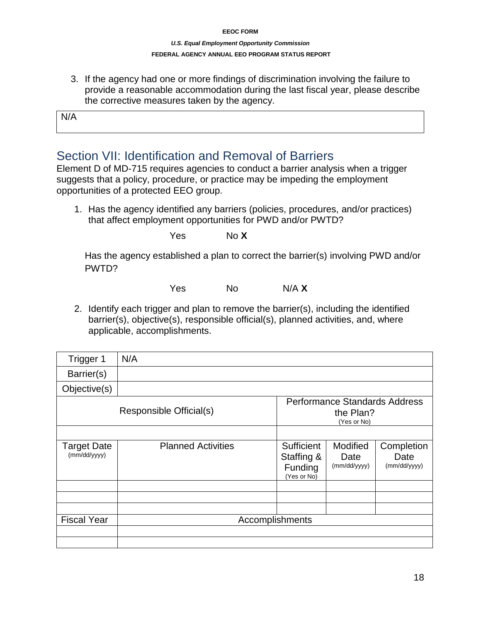#### *U.S. Equal Employment Opportunity Commission* **FEDERAL AGENCY ANNUAL EEO PROGRAM STATUS REPORT**

3. If the agency had one or more findings of discrimination involving the failure to provide a reasonable accommodation during the last fiscal year, please describe the corrective measures taken by the agency.

N/A

## Section VII: Identification and Removal of Barriers

Element D of MD-715 requires agencies to conduct a barrier analysis when a trigger suggests that a policy, procedure, or practice may be impeding the employment opportunities of a protected EEO group.

1. Has the agency identified any barriers (policies, procedures, and/or practices) that affect employment opportunities for PWD and/or PWTD?

Yes No **X**

Has the agency established a plan to correct the barrier(s) involving PWD and/or PWTD?

Yes No N/A **X**

2. Identify each trigger and plan to remove the barrier(s), including the identified barrier(s), objective(s), responsible official(s), planned activities, and, where applicable, accomplishments.

| Trigger 1                          | N/A                       |                                                                  |                                  |                                    |  |
|------------------------------------|---------------------------|------------------------------------------------------------------|----------------------------------|------------------------------------|--|
| Barrier(s)                         |                           |                                                                  |                                  |                                    |  |
| Objective(s)                       |                           |                                                                  |                                  |                                    |  |
| Responsible Official(s)            |                           | <b>Performance Standards Address</b><br>the Plan?<br>(Yes or No) |                                  |                                    |  |
|                                    |                           |                                                                  |                                  |                                    |  |
| <b>Target Date</b><br>(mm/dd/yyyy) | <b>Planned Activities</b> | Sufficient<br>Staffing &<br>Funding<br>(Yes or No)               | Modified<br>Date<br>(mm/dd/yyyy) | Completion<br>Date<br>(mm/dd/yyyy) |  |
|                                    |                           |                                                                  |                                  |                                    |  |
|                                    |                           |                                                                  |                                  |                                    |  |
| <b>Fiscal Year</b>                 | Accomplishments           |                                                                  |                                  |                                    |  |
|                                    |                           |                                                                  |                                  |                                    |  |
|                                    |                           |                                                                  |                                  |                                    |  |